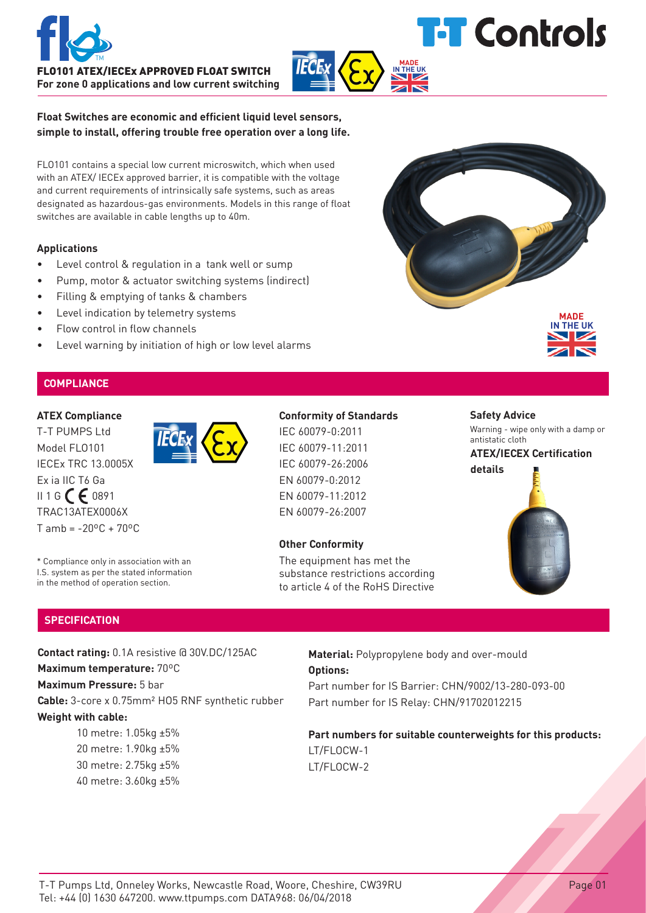



**IN THE UK**

**Float Switches are economic and efficient liquid level sensors, simple to install, offering trouble free operation over a long life.**

FLO101 contains a special low current microswitch, which when used with an ATEX/ IECEx approved barrier, it is compatible with the voltage and current requirements of intrinsically safe systems, such as areas designated as hazardous-gas environments. Models in this range of float switches are available in cable lengths up to 40m.

# **Applications**

- Level control & regulation in a tank well or sump
- Pump, motor & actuator switching systems (indirect)
- Filling & emptying of tanks & chambers
- Level indication by telemetry systems
- Flow control in flow channels
- Level warning by initiation of high or low level alarms

# **COMPLIANCE**

# **ATEX Compliance**

T-T PUMPS Ltd Model FLO101 IECEx TRC 13.0005X Ex ia IIC T6 Ga  $II 1 G C F 0891$ TRAC13ATEX0006X  $T$  amb = -20 $\rm{^{\circ}C}$  + 70 $\rm{^{\circ}C}$ 

# **Conformity of Standards**

IEC 60079-0:2011 IEC 60079-11:2011 IEC 60079-26:2006 EN 60079-0:2012 EN 60079-11:2012 EN 60079-26:2007

# **Other Conformity**

The equipment has met the substance restrictions according to article 4 of the RoHS Directive

# **Safety Advice**

Warning - wipe only with a damp or antistatic cloth

**MADE IN THE UK**

# **ATEX/IECEX Certification details**



**SPECIFICATION**

**Contact rating:** 0.1A resistive @ 30V.DC/125AC

**Maximum temperature:** 70ºC

\* Compliance only in association with an I.S. system as per the stated information in the method of operation section.

**Maximum Pressure:** 5 bar

**Cable:** 3-core x 0.75mm² HO5 RNF synthetic rubber **Weight with cable:**

> 10 metre: 1.05kg ±5% 20 metre: 1.90kg ±5% 30 metre: 2.75kg ±5% 40 metre: 3.60kg ±5%

# **Material:** Polypropylene body and over-mould **Options:**

Part number for IS Barrier: CHN/9002/13-280-093-00 Part number for IS Relay: CHN/91702012215

**Part numbers for suitable counterweights for this products:** LT/FLOCW-1 LT/FLOCW-2